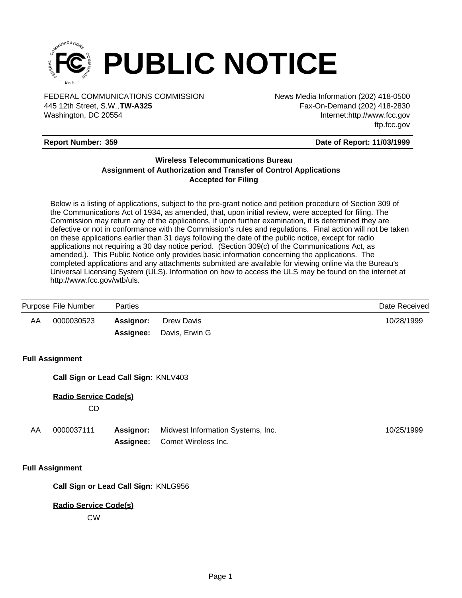

FEDERAL COMMUNICATIONS COMMISSION News Media Information (202) 418-0500 Washington, DC 20554 445 12th Street, S.W.,**TW-A325**

Fax-On-Demand (202) 418-2830 Internet:http://www.fcc.gov ftp.fcc.gov

## **Report Number: 359**

#### **Date of Report: 11/03/1999**

# **Wireless Telecommunications Bureau Assignment of Authorization and Transfer of Control Applications Accepted for Filing**

Below is a listing of applications, subject to the pre-grant notice and petition procedure of Section 309 of the Communications Act of 1934, as amended, that, upon initial review, were accepted for filing. The Commission may return any of the applications, if upon further examination, it is determined they are defective or not in conformance with the Commission's rules and regulations. Final action will not be taken on these applications earlier than 31 days following the date of the public notice, except for radio applications not requiring a 30 day notice period. (Section 309(c) of the Communications Act, as amended.). This Public Notice only provides basic information concerning the applications. The completed applications and any attachments submitted are available for viewing online via the Bureau's Universal Licensing System (ULS). Information on how to access the ULS may be found on the internet at http://www.fcc.gov/wtb/uls.

|    | Purpose File Number                  | Parties                |                                                          | Date Received |  |  |
|----|--------------------------------------|------------------------|----------------------------------------------------------|---------------|--|--|
| AA | 0000030523                           | Assignor:<br>Assignee: | Drew Davis<br>Davis, Erwin G                             | 10/28/1999    |  |  |
|    | <b>Full Assignment</b>               |                        |                                                          |               |  |  |
|    | Call Sign or Lead Call Sign: KNLV403 |                        |                                                          |               |  |  |
|    | <b>Radio Service Code(s)</b><br>CD.  |                        |                                                          |               |  |  |
| AA | 0000037111                           | Assignor:<br>Assignee: | Midwest Information Systems, Inc.<br>Comet Wireless Inc. | 10/25/1999    |  |  |

#### **Full Assignment**

**Call Sign or Lead Call Sign:** KNLG956

## **Radio Service Code(s)**

CW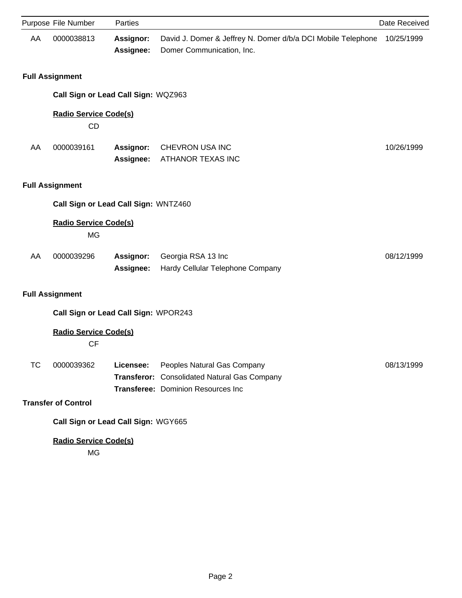|           | Purpose File Number                       | Parties                       |                                                                                                                   | Date Received |  |
|-----------|-------------------------------------------|-------------------------------|-------------------------------------------------------------------------------------------------------------------|---------------|--|
| AA        | 0000038813                                | <b>Assignor:</b><br>Assignee: | David J. Domer & Jeffrey N. Domer d/b/a DCI Mobile Telephone<br>Domer Communication, Inc.                         | 10/25/1999    |  |
|           | <b>Full Assignment</b>                    |                               |                                                                                                                   |               |  |
|           | Call Sign or Lead Call Sign: WQZ963       |                               |                                                                                                                   |               |  |
|           | <b>Radio Service Code(s)</b><br>CD        |                               |                                                                                                                   |               |  |
| AA        | 0000039161                                | Assignor:<br>Assignee:        | CHEVRON USA INC<br>ATHANOR TEXAS INC                                                                              | 10/26/1999    |  |
|           | <b>Full Assignment</b>                    |                               |                                                                                                                   |               |  |
|           | Call Sign or Lead Call Sign: WNTZ460      |                               |                                                                                                                   |               |  |
|           | <b>Radio Service Code(s)</b><br><b>MG</b> |                               |                                                                                                                   |               |  |
| AA        | 0000039296                                | Assignor:<br>Assignee:        | Georgia RSA 13 Inc<br>Hardy Cellular Telephone Company                                                            | 08/12/1999    |  |
|           | <b>Full Assignment</b>                    |                               |                                                                                                                   |               |  |
|           | Call Sign or Lead Call Sign: WPOR243      |                               |                                                                                                                   |               |  |
|           | <b>Radio Service Code(s)</b><br><b>CF</b> |                               |                                                                                                                   |               |  |
| <b>TC</b> | 0000039362                                | Licensee:                     | Peoples Natural Gas Company<br>Transferor: Consolidated Natural Gas Company<br>Transferee: Dominion Resources Inc | 08/13/1999    |  |
|           | <b>Transfer of Control</b>                |                               |                                                                                                                   |               |  |
|           | Call Sign or Lead Call Sign: WGY665       |                               |                                                                                                                   |               |  |
|           | <b>Radio Service Code(s)</b>              |                               |                                                                                                                   |               |  |

MG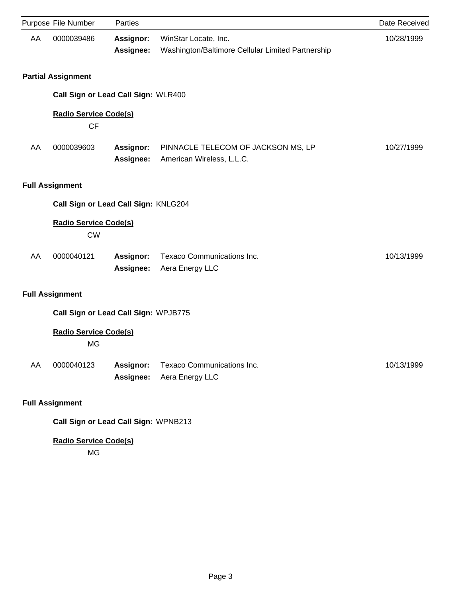|    | Purpose File Number                       | Parties                       |                                                                           | Date Received |  |
|----|-------------------------------------------|-------------------------------|---------------------------------------------------------------------------|---------------|--|
| AA | 0000039486                                | Assignor:<br>Assignee:        | WinStar Locate, Inc.<br>Washington/Baltimore Cellular Limited Partnership | 10/28/1999    |  |
|    | <b>Partial Assignment</b>                 |                               |                                                                           |               |  |
|    | Call Sign or Lead Call Sign: WLR400       |                               |                                                                           |               |  |
|    | <b>Radio Service Code(s)</b><br><b>CF</b> |                               |                                                                           |               |  |
| AA | 0000039603                                | Assignor:<br>Assignee:        | PINNACLE TELECOM OF JACKSON MS, LP<br>American Wireless, L.L.C.           | 10/27/1999    |  |
|    | <b>Full Assignment</b>                    |                               |                                                                           |               |  |
|    | Call Sign or Lead Call Sign: KNLG204      |                               |                                                                           |               |  |
|    | <b>Radio Service Code(s)</b><br><b>CW</b> |                               |                                                                           |               |  |
| AA | 0000040121                                | Assignor:<br>Assignee:        | Texaco Communications Inc.<br>Aera Energy LLC                             | 10/13/1999    |  |
|    | <b>Full Assignment</b>                    |                               |                                                                           |               |  |
|    | Call Sign or Lead Call Sign: WPJB775      |                               |                                                                           |               |  |
|    | <b>Radio Service Code(s)</b><br><b>MG</b> |                               |                                                                           |               |  |
| AA | 0000040123                                | <b>Assignor:</b><br>Assignee: | <b>Texaco Communications Inc.</b><br>Aera Energy LLC                      | 10/13/1999    |  |
|    | <b>Full Assignment</b>                    |                               |                                                                           |               |  |
|    | Call Sign or Lead Call Sign: WPNB213      |                               |                                                                           |               |  |
|    | <b>Radio Service Code(s)</b>              |                               |                                                                           |               |  |

MG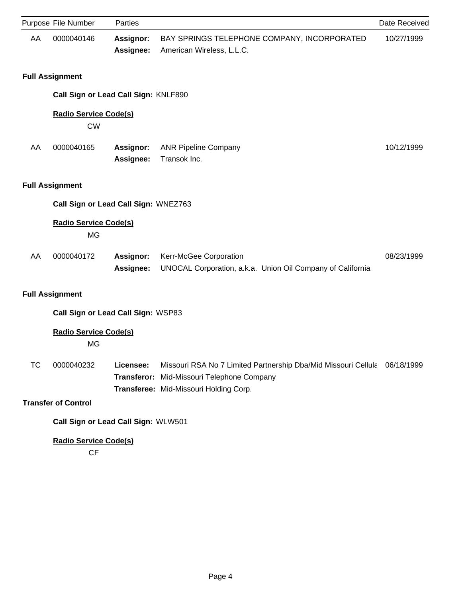|           | Purpose File Number                       | Parties                |                                                                                                                                                                   | Date Received |  |
|-----------|-------------------------------------------|------------------------|-------------------------------------------------------------------------------------------------------------------------------------------------------------------|---------------|--|
| AA        | 0000040146                                | Assignor:<br>Assignee: | BAY SPRINGS TELEPHONE COMPANY, INCORPORATED<br>American Wireless, L.L.C.                                                                                          | 10/27/1999    |  |
|           | <b>Full Assignment</b>                    |                        |                                                                                                                                                                   |               |  |
|           | Call Sign or Lead Call Sign: KNLF890      |                        |                                                                                                                                                                   |               |  |
|           | <b>Radio Service Code(s)</b><br><b>CW</b> |                        |                                                                                                                                                                   |               |  |
| AA        | 0000040165                                | Assignor:<br>Assignee: | <b>ANR Pipeline Company</b><br>Transok Inc.                                                                                                                       | 10/12/1999    |  |
|           | <b>Full Assignment</b>                    |                        |                                                                                                                                                                   |               |  |
|           | Call Sign or Lead Call Sign: WNEZ763      |                        |                                                                                                                                                                   |               |  |
|           | <b>Radio Service Code(s)</b><br><b>MG</b> |                        |                                                                                                                                                                   |               |  |
| AA        | 0000040172                                | Assignor:<br>Assignee: | Kerr-McGee Corporation<br>UNOCAL Corporation, a.k.a. Union Oil Company of California                                                                              | 08/23/1999    |  |
|           | <b>Full Assignment</b>                    |                        |                                                                                                                                                                   |               |  |
|           | Call Sign or Lead Call Sign: WSP83        |                        |                                                                                                                                                                   |               |  |
|           | <b>Radio Service Code(s)</b><br><b>MG</b> |                        |                                                                                                                                                                   |               |  |
| <b>TC</b> | 0000040232                                | Licensee:              | Missouri RSA No 7 Limited Partnership Dba/Mid Missouri Cellula 06/18/1999<br>Transferor: Mid-Missouri Telephone Company<br>Transferee: Mid-Missouri Holding Corp. |               |  |
|           | <b>Transfer of Control</b>                |                        |                                                                                                                                                                   |               |  |
|           | Call Sign or Lead Call Sign: WLW501       |                        |                                                                                                                                                                   |               |  |
|           | <b>Radio Service Code(s)</b><br>CF        |                        |                                                                                                                                                                   |               |  |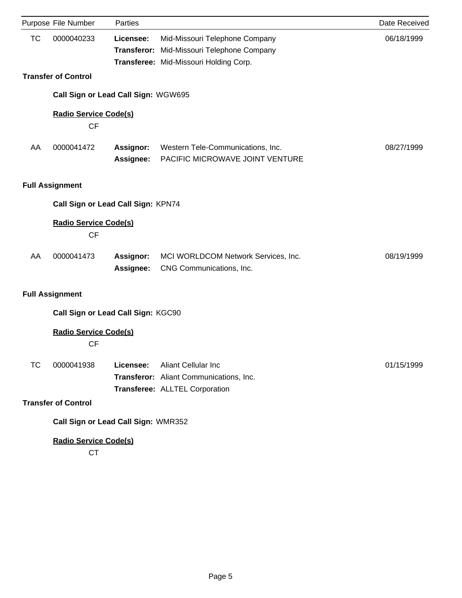|           | Purpose File Number                       | Parties                             |                                                                                                          | Date Received |  |  |
|-----------|-------------------------------------------|-------------------------------------|----------------------------------------------------------------------------------------------------------|---------------|--|--|
| <b>TC</b> | 0000040233                                | Licensee:                           | Mid-Missouri Telephone Company                                                                           | 06/18/1999    |  |  |
|           |                                           |                                     | Transferor: Mid-Missouri Telephone Company                                                               |               |  |  |
|           |                                           |                                     | Transferee: Mid-Missouri Holding Corp.                                                                   |               |  |  |
|           | <b>Transfer of Control</b>                |                                     |                                                                                                          |               |  |  |
|           |                                           | Call Sign or Lead Call Sign: WGW695 |                                                                                                          |               |  |  |
|           | <b>Radio Service Code(s)</b><br><b>CF</b> |                                     |                                                                                                          |               |  |  |
| AA        | 0000041472                                | <b>Assignor:</b><br>Assignee:       | Western Tele-Communications, Inc.<br>PACIFIC MICROWAVE JOINT VENTURE                                     | 08/27/1999    |  |  |
|           | <b>Full Assignment</b>                    |                                     |                                                                                                          |               |  |  |
|           | Call Sign or Lead Call Sign: KPN74        |                                     |                                                                                                          |               |  |  |
|           | <b>Radio Service Code(s)</b><br><b>CF</b> |                                     |                                                                                                          |               |  |  |
| AA        | 0000041473                                | Assignor:<br>Assignee:              | MCI WORLDCOM Network Services, Inc.<br>CNG Communications, Inc.                                          | 08/19/1999    |  |  |
|           | <b>Full Assignment</b>                    |                                     |                                                                                                          |               |  |  |
|           |                                           | Call Sign or Lead Call Sign: KGC90  |                                                                                                          |               |  |  |
|           | <b>Radio Service Code(s)</b><br><b>CF</b> |                                     |                                                                                                          |               |  |  |
| <b>TC</b> | 0000041938                                | Licensee:                           | <b>Aliant Cellular Inc.</b><br>Transferor: Aliant Communications, Inc.<br>Transferee: ALLTEL Corporation | 01/15/1999    |  |  |
|           | <b>Transfer of Control</b>                |                                     |                                                                                                          |               |  |  |
|           |                                           | Call Sign or Lead Call Sign: WMR352 |                                                                                                          |               |  |  |
|           | <b>Radio Service Code(s)</b>              |                                     |                                                                                                          |               |  |  |

CT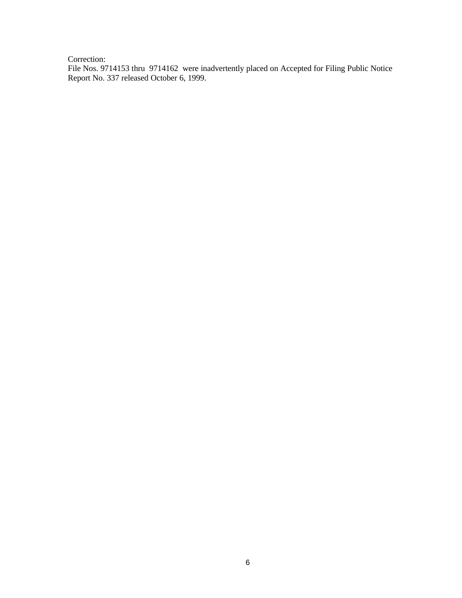Correction:

File Nos. 9714153 thru 9714162 were inadvertently placed on Accepted for Filing Public Notice Report No. 337 released October 6, 1999.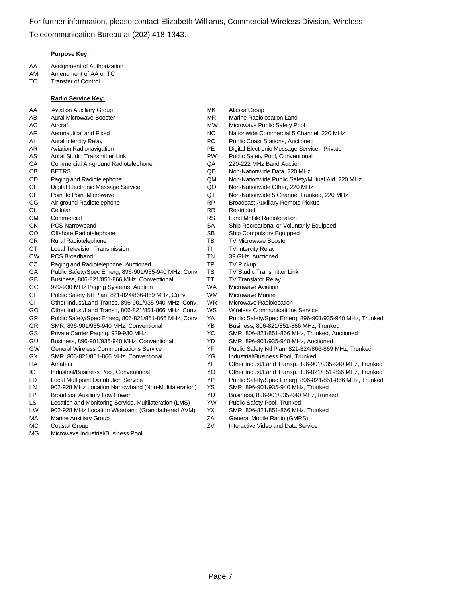#### **Purpose Key:**

- AA Assignment of Authorization
- AM Amendment of AA or TC
- TC Transfer of Control

#### **Radio Service Key:**

- AA Aviation Auxiliary Group **MK** Alaska Group
- 
- 
- 
- 
- 
- CA Commercial Air-ground Radiotelephone QA 220-222 MHz Band Auction
- 
- 
- CE Digital Electronic Message Service QO Non-Nationwide Other, 220 MHz
- 
- CG Air-ground Radiotelephone RP Broadcast Auxiliary Remote Pickup
- 
- 
- 
- CO Offshore Radiotelephone SB Ship Compulsory Equipped
- CR Rural Radiotelephone TB TV Microwave Booster
- CT Local Television Transmission Transmission Turry TI TV Intercity Relay
- CW PCS Broadband TN 39 GHz, Auctioned
- CZ Paging and Radiotelephone, Auctioned TP TV Pickup
- GA Public Safety/Spec Emerg, 896-901/935-940 MHz, Conv. TS TV Studio Transmitter Link
- GB Business, 806-821/851-866 MHz, Conventional TT TV Translator Relay
- GC 929-930 MHz Paging Systems, Auction Nation WA Microwave Aviation
- GF Public Safety Ntl Plan, 821-824/866-869 MHz, Conv. WM Microwave Marine
- GI Other Indust/Land Transp, 896-901/935-940 MHz, Conv. WR Microwave Radiolocation
- GO Other Indust/Land Transp, 806-821/851-866 MHz, Conv. WS Wireless Communications Service
- GP Public Safety/Spec Emerg, 806-821/851-866 MHz, Conv. YA Public Safety/Spec Emerg, 896-901/935-940 MHz, Trunked
- GR SMR, 896-901/935-940 MHz, Conventional YB Business, 806-821/851-866 MHz, Trunked
- 
- GU Business, 896-901/935-940 MHz, Conventional YD SMR, 896-901/935-940 MHz, Auctioned
- 
- GX SMR, 806-821/851-866 MHz, Conventional YG Industrial/Business Pool, Trunked
- 
- 
- 
- LN 902-928 MHz Location Narrowband (Non-Multilateration) YS SMR, 896-901/935-940 MHz, Trunked
- LP Broadcast Auxiliary Low Power YU Business, 896-901/935-940 MHz,Trunked
- LS Location and Monitoring Service, Multilateration (LMS) YW Public Safety Pool, Trunked
- LW 902-928 MHz Location Wideband (Grandfathered AVM) YX SMR, 806-821/851-866 MHz, Trunked
- 
- 
- MG Microwave Industrial/Business Pool
- 
- AB Aural Microwave Booster **MR** Marine Radiolocation Land
- AC Aircraft MW Microwave Public Safety Pool
- AF Aeronautical and Fixed NC Nationwide Commercial 5 Channel, 220 MHz
- AI Aural Intercity Relay **PC** Public Coast Stations, Auctioned
- AR Aviation Radionavigation **PE** Digital Electronic Message Service Private
- AS Aural Studio Transmitter Link **PW** Public Safety Pool, Conventional
	-
- CB BETRS QD Non-Nationwide Data, 220 MHz
- CD Paging and Radiotelephone QM Non-Nationwide Public Safety/Mutual Aid, 220 MHz
	-
- CF Point to Point Microwave QT Non-Nationwide 5 Channel Trunked, 220 MHz
	-
- CL Cellular **RR** Restricted
- CM Commercial CM Commercial CM Commercial CM Commercial CM RS Land Mobile Radiolocation
- CN PCS Narrowband CN SA Ship Recreational or Voluntarily Equipped
	-
	-
	-
	-
	-
	-
	-
	-
	-
	-
	-
	-
	-
- GS Private Carrier Paging, 929-930 MHz YC SMR, 806-821/851-866 MHz, Trunked, Auctioned
	-
- GW General Wireless Communications Service YF Public Safety Ntl Plan, 821-824/866-869 MHz, Trunked
	-
- HA Amateur YI Other Indust/Land Transp. 896-901/935-940 MHz, Trunked
- IG Industrial/Business Pool, Conventional YO Other Indust/Land Transp. 806-821/851-866 MHz, Trunked
- LD Local Multipoint Distribution Service YP Public Safety/Spec Emerg, 806-821/851-866 MHz, Trunked
	-
	-
	-
	-
- MA Marine Auxiliary Group **Marine Auxiliary Group ZA General Mobile Radio (GMRS)**
- MC Coastal Group Contractive Video and Data Service